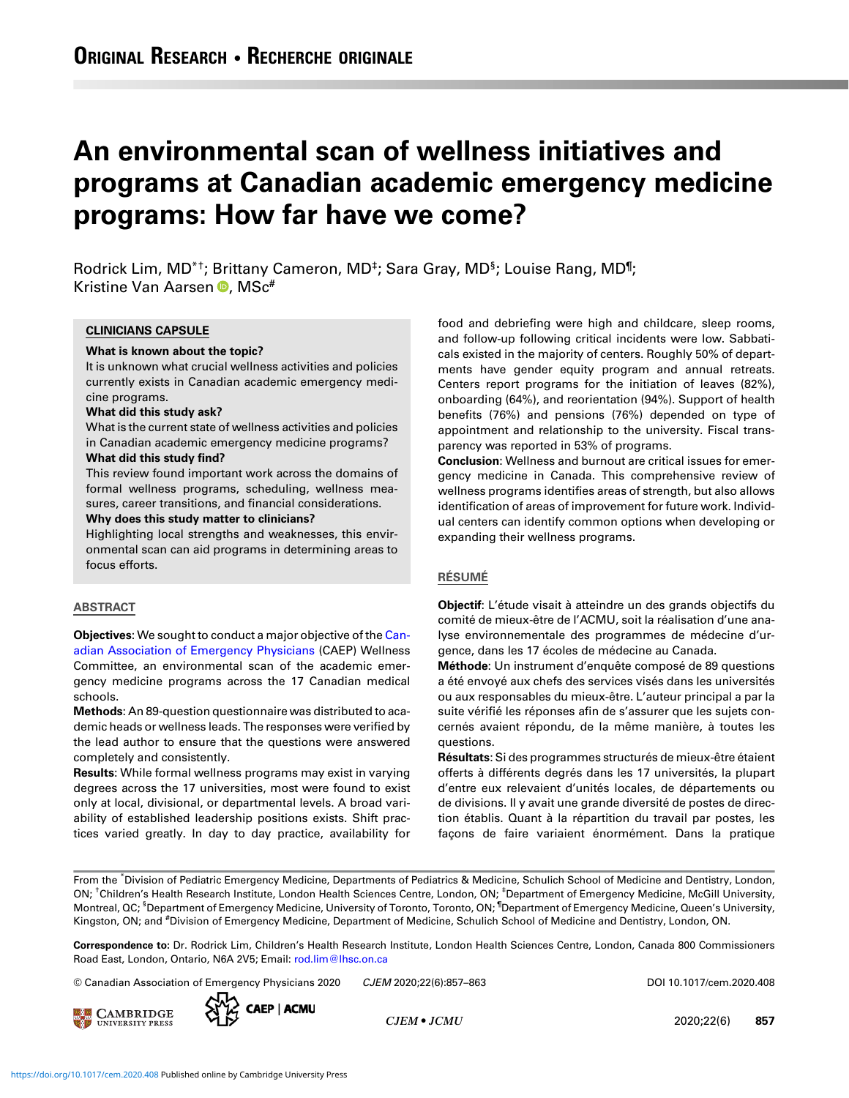# An environmental scan of wellness initiatives and programs at Canadian academic emergency medicine programs: How far have we come?

Rodrick Lim, MD<sup>\*†</sup>; Brittany Cameron, MD<sup>‡</sup>; Sara Gray, MD<sup>§</sup>; Louise Rang, MD<sup>¶</sup>; Kristine Van Aarsen <sup>(b)</sup>, MSc<sup>#</sup>

### CLINICIANS CAPSULE

#### What is known about the topic?

It is unknown what crucial wellness activities and policies currently exists in Canadian academic emergency medicine programs.

#### What did this study ask?

What is the current state of wellness activities and policies in Canadian academic emergency medicine programs? What did this study find?

This review found important work across the domains of formal wellness programs, scheduling, wellness measures, career transitions, and financial considerations.

#### Why does this study matter to clinicians?

Highlighting local strengths and weaknesses, this environmental scan can aid programs in determining areas to focus efforts.

## ABSTRACT

**Objectives:** We sought to conduct a major objective of the [Can](https://caep.ca/)[adian Association of Emergency Physicians](https://caep.ca/) (CAEP) Wellness Committee, an environmental scan of the academic emergency medicine programs across the 17 Canadian medical schools.

Methods: An 89-question questionnaire was distributed to academic heads or wellness leads. The responses were verified by the lead author to ensure that the questions were answered completely and consistently.

Results: While formal wellness programs may exist in varying degrees across the 17 universities, most were found to exist only at local, divisional, or departmental levels. A broad variability of established leadership positions exists. Shift practices varied greatly. In day to day practice, availability for food and debriefing were high and childcare, sleep rooms, and follow-up following critical incidents were low. Sabbaticals existed in the majority of centers. Roughly 50% of departments have gender equity program and annual retreats. Centers report programs for the initiation of leaves (82%), onboarding (64%), and reorientation (94%). Support of health benefits (76%) and pensions (76%) depended on type of appointment and relationship to the university. Fiscal transparency was reported in 53% of programs.

Conclusion: Wellness and burnout are critical issues for emergency medicine in Canada. This comprehensive review of wellness programs identifies areas of strength, but also allows identification of areas of improvement for future work. Individual centers can identify common options when developing or expanding their wellness programs.

### RÉSUMÉ

Objectif: L'étude visait à atteindre un des grands objectifs du comité de mieux-être de l'ACMU, soit la réalisation d'une analyse environnementale des programmes de médecine d'urgence, dans les 17 écoles de médecine au Canada.

Méthode: Un instrument d'enquête composé de 89 questions a été envoyé aux chefs des services visés dans les universités ou aux responsables du mieux-être. L'auteur principal a par la suite vérifié les réponses afin de s'assurer que les sujets concernés avaient répondu, de la même manière, à toutes les questions.

Résultats: Si des programmes structurés de mieux-être étaient offerts à différents degrés dans les 17 universités, la plupart d'entre eux relevaient d'unités locales, de départements ou de divisions. Il y avait une grande diversité de postes de direction établis. Quant à la répartition du travail par postes, les façons de faire variaient énormément. Dans la pratique

From the \* Division of Pediatric Emergency Medicine, Departments of Pediatrics & Medicine, Schulich School of Medicine and Dentistry, London, ON; † Children's Health Research Institute, London Health Sciences Centre, London, ON; ‡ Department of Emergency Medicine, McGill University, Montreal, QC; <sup>s</sup>Department of Emergency Medicine, University of Toronto, Toronto, ON; <sup>¶</sup>Department of Emergency Medicine, Queen's University, Kingston, ON; and <sup>#</sup>Division of Emergency Medicine, Department of Medicine, Schulich School of Medicine and Dentistry, London, ON.

Correspondence to: Dr. Rodrick Lim, Children's Health Research Institute, London Health Sciences Centre, London, Canada 800 Commissioners Road East, London, Ontario, N6A 2V5; Email: [rod.lim@lhsc.on.ca](mailto:rod.lim@lhsc.on.ca)

 $\circledcirc$  Canadian Association of Emergency Physicians 2020  $CIEM$  2020;22(6):857–863 DOI 10.1017/cem.2020.408





CJEM • JCMU 2020;22(6) 857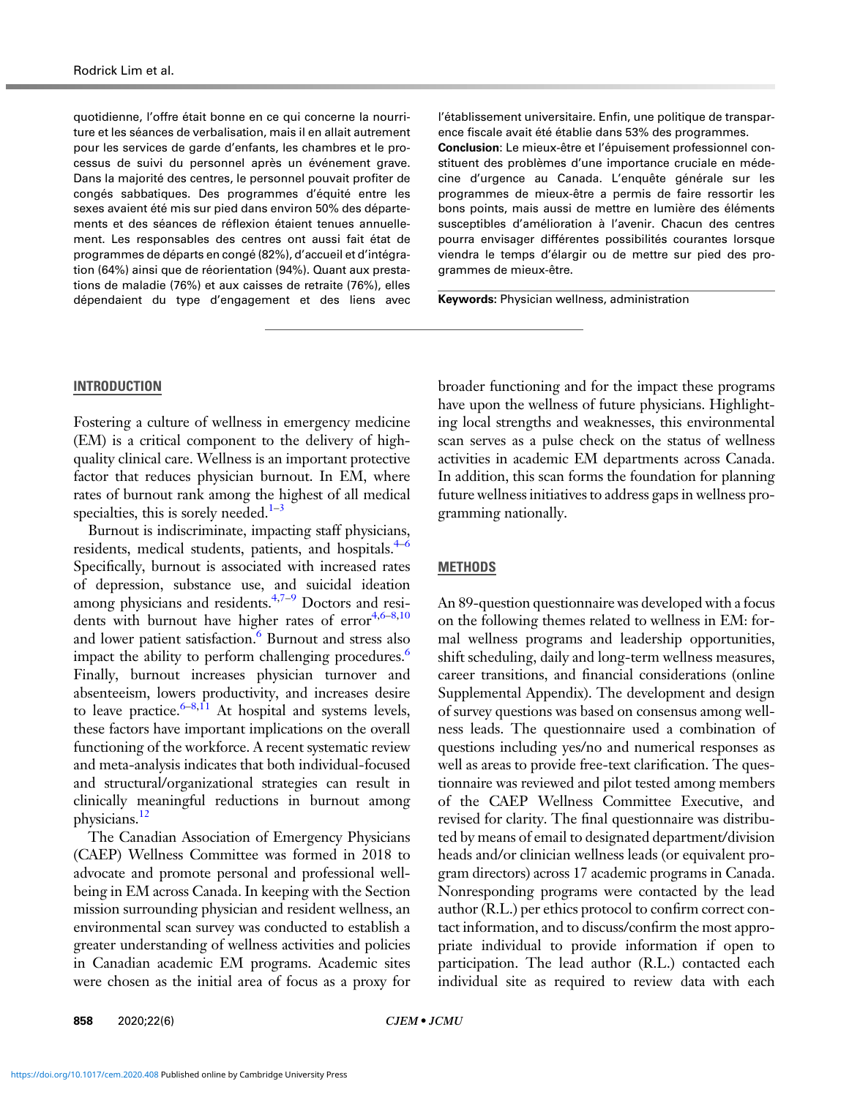quotidienne, l'offre était bonne en ce qui concerne la nourriture et les séances de verbalisation, mais il en allait autrement pour les services de garde d'enfants, les chambres et le processus de suivi du personnel après un événement grave. Dans la majorité des centres, le personnel pouvait profiter de congés sabbatiques. Des programmes d'équité entre les sexes avaient été mis sur pied dans environ 50% des départements et des séances de réflexion étaient tenues annuellement. Les responsables des centres ont aussi fait état de programmes de départs en congé (82%), d'accueil et d'intégration (64%) ainsi que de réorientation (94%). Quant aux prestations de maladie (76%) et aux caisses de retraite (76%), elles dépendaient du type d'engagement et des liens avec l'établissement universitaire. Enfin, une politique de transparence fiscale avait été établie dans 53% des programmes. Conclusion: Le mieux-être et l'épuisement professionnel constituent des problèmes d'une importance cruciale en médecine d'urgence au Canada. L'enquête générale sur les programmes de mieux-être a permis de faire ressortir les bons points, mais aussi de mettre en lumière des éléments susceptibles d'amélioration à l'avenir. Chacun des centres pourra envisager différentes possibilités courantes lorsque viendra le temps d'élargir ou de mettre sur pied des programmes de mieux-être.

Keywords: Physician wellness, administration

## INTRODUCTION

Fostering a culture of wellness in emergency medicine (EM) is a critical component to the delivery of highquality clinical care. Wellness is an important protective factor that reduces physician burnout. In EM, where rates of burnout rank among the highest of all medical specialties, this is sorely needed.<sup>[1](#page-5-0)–[3](#page-5-0)</sup>

Burnout is indiscriminate, impacting staff physicians, residents, medical students, patients, and hospitals.<sup>4-[6](#page-5-0)</sup> Specifically, burnout is associated with increased rates of depression, substance use, and suicidal ideation among physicians and residents. $4,7-9$  $4,7-9$  $4,7-9$  Doctors and residents with burnout have higher rates of  $error<sup>4,6–8,10</sup>$  $error<sup>4,6–8,10</sup>$  $error<sup>4,6–8,10</sup>$  $error<sup>4,6–8,10</sup>$  $error<sup>4,6–8,10</sup>$ and lower patient satisfaction.<sup>[6](#page-5-0)</sup> Burnout and stress also impact the ability to perform challenging procedures.<sup>6</sup> Finally, burnout increases physician turnover and absenteeism, lowers productivity, and increases desire to leave practice.<sup> $6-8,11$  $6-8,11$  $6-8,11$ </sup> At hospital and systems levels, these factors have important implications on the overall functioning of the workforce. A recent systematic review and meta-analysis indicates that both individual-focused and structural/organizational strategies can result in clinically meaningful reductions in burnout among physicians.<sup>12</sup>

The Canadian Association of Emergency Physicians (CAEP) Wellness Committee was formed in 2018 to advocate and promote personal and professional wellbeing in EM across Canada. In keeping with the Section mission surrounding physician and resident wellness, an environmental scan survey was conducted to establish a greater understanding of wellness activities and policies in Canadian academic EM programs. Academic sites were chosen as the initial area of focus as a proxy for broader functioning and for the impact these programs have upon the wellness of future physicians. Highlighting local strengths and weaknesses, this environmental scan serves as a pulse check on the status of wellness activities in academic EM departments across Canada. In addition, this scan forms the foundation for planning future wellness initiatives to address gaps in wellness programming nationally.

## **METHODS**

An 89-question questionnaire was developed with a focus on the following themes related to wellness in EM: formal wellness programs and leadership opportunities, shift scheduling, daily and long-term wellness measures, career transitions, and financial considerations (online Supplemental Appendix). The development and design of survey questions was based on consensus among wellness leads. The questionnaire used a combination of questions including yes/no and numerical responses as well as areas to provide free-text clarification. The questionnaire was reviewed and pilot tested among members of the CAEP Wellness Committee Executive, and revised for clarity. The final questionnaire was distributed by means of email to designated department/division heads and/or clinician wellness leads (or equivalent program directors) across 17 academic programs in Canada. Nonresponding programs were contacted by the lead author (R.L.) per ethics protocol to confirm correct contact information, and to discuss/confirm the most appropriate individual to provide information if open to participation. The lead author (R.L.) contacted each individual site as required to review data with each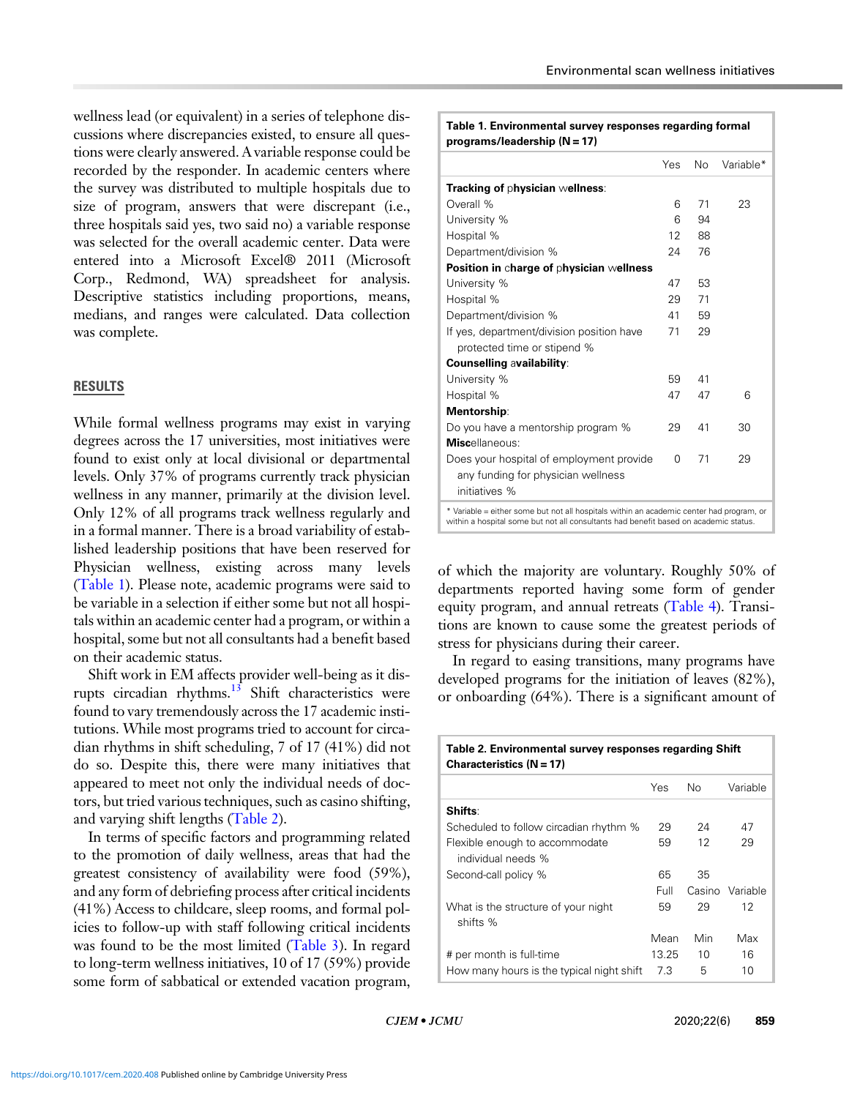wellness lead (or equivalent) in a series of telephone discussions where discrepancies existed, to ensure all questions were clearly answered. A variable response could be recorded by the responder. In academic centers where the survey was distributed to multiple hospitals due to size of program, answers that were discrepant (i.e., three hospitals said yes, two said no) a variable response was selected for the overall academic center. Data were entered into a Microsoft Excel® 2011 (Microsoft Corp., Redmond, WA) spreadsheet for analysis. Descriptive statistics including proportions, means, medians, and ranges were calculated. Data collection was complete.

## RESULTS

While formal wellness programs may exist in varying degrees across the 17 universities, most initiatives were found to exist only at local divisional or departmental levels. Only 37% of programs currently track physician wellness in any manner, primarily at the division level. Only 12% of all programs track wellness regularly and in a formal manner. There is a broad variability of established leadership positions that have been reserved for Physician wellness, existing across many levels (Table 1). Please note, academic programs were said to be variable in a selection if either some but not all hospitals within an academic center had a program, or within a hospital, some but not all consultants had a benefit based on their academic status.

Shift work in EM affects provider well-being as it disrupts circadian rhythms.<sup>13</sup> Shift characteristics were found to vary tremendously across the 17 academic institutions. While most programs tried to account for circadian rhythms in shift scheduling, 7 of 17 (41%) did not do so. Despite this, there were many initiatives that appeared to meet not only the individual needs of doctors, but tried various techniques, such as casino shifting, and varying shift lengths (Table 2).

In terms of specific factors and programming related to the promotion of daily wellness, areas that had the greatest consistency of availability were food (59%), and any form of debriefing process after critical incidents (41%) Access to childcare, sleep rooms, and formal policies to follow-up with staff following critical incidents was found to be the most limited ([Table 3\)](#page-3-0). In regard to long-term wellness initiatives, 10 of 17 (59%) provide some form of sabbatical or extended vacation program,

| programs/leadership ( $N = 17$ )                                                                                                                                                 |     |                |           |  |
|----------------------------------------------------------------------------------------------------------------------------------------------------------------------------------|-----|----------------|-----------|--|
|                                                                                                                                                                                  | Yes | N <sub>o</sub> | Variable* |  |
| Tracking of physician wellness:                                                                                                                                                  |     |                |           |  |
| Overall %                                                                                                                                                                        | 6   | 71             | 23        |  |
| University %                                                                                                                                                                     | 6   | 94             |           |  |
| Hospital %                                                                                                                                                                       | 12  | 88             |           |  |
| Department/division %                                                                                                                                                            | 24  | 76             |           |  |
| Position in charge of physician wellness                                                                                                                                         |     |                |           |  |
| University %                                                                                                                                                                     | 47  | 53             |           |  |
| Hospital %                                                                                                                                                                       | 29  | 71             |           |  |
| Department/division %                                                                                                                                                            | 41  | 59             |           |  |
| If yes, department/division position have                                                                                                                                        | 71  | 29             |           |  |
| protected time or stipend %                                                                                                                                                      |     |                |           |  |
| Counselling availability:                                                                                                                                                        |     |                |           |  |
| University %                                                                                                                                                                     | 59  | 41             |           |  |
| Hospital %                                                                                                                                                                       | 47  | 47             | 6         |  |
| Mentorship:                                                                                                                                                                      |     |                |           |  |
| Do you have a mentorship program %                                                                                                                                               | 29  | 41             | 30        |  |
| Miscellaneous:                                                                                                                                                                   |     |                |           |  |
| Does your hospital of employment provide                                                                                                                                         | 0   | 71             | 29        |  |
| any funding for physician wellness                                                                                                                                               |     |                |           |  |
| initiatives %                                                                                                                                                                    |     |                |           |  |
| * Variable = either some but not all hospitals within an academic center had program, or<br>within a hospital some but not all consultants had benefit based on academic status. |     |                |           |  |

Table 1. Environmental survey responses regarding formal

of which the majority are voluntary. Roughly 50% of departments reported having some form of gender equity program, and annual retreats [\(Table 4\)](#page-3-0). Transitions are known to cause some the greatest periods of stress for physicians during their career.

In regard to easing transitions, many programs have developed programs for the initiation of leaves (82%), or onboarding (64%). There is a significant amount of

| Table 2. Environmental survey responses regarding Shift<br>Characteristics $(N = 17)$ |       |     |                 |
|---------------------------------------------------------------------------------------|-------|-----|-----------------|
|                                                                                       | Yes   | No. | Variable        |
| Shifts:                                                                               |       |     |                 |
| Scheduled to follow circadian rhythm %                                                | 29    | 24  | 47              |
| Flexible enough to accommodate<br>individual needs %                                  | 59    | 12  | 29              |
| Second-call policy %                                                                  | 65    | 35  |                 |
|                                                                                       | Full  |     | Casino Variable |
| What is the structure of your night<br>shifts %                                       | 59    | 29  | 12              |
|                                                                                       | Mean  | Min | Max             |
| # per month is full-time                                                              | 13.25 | 10  | 16              |
| How many hours is the typical night shift                                             | 73    | 5   | 10              |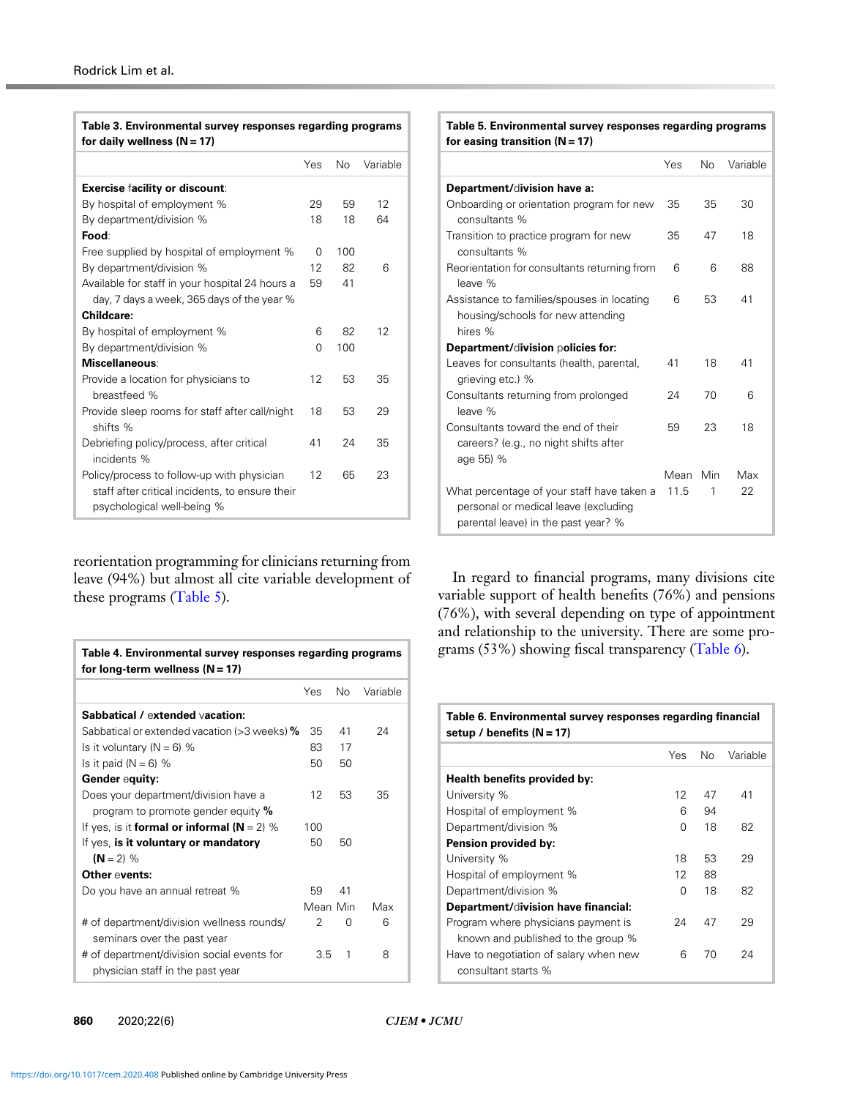## <span id="page-3-0"></span>Table 3. Environmental survey responses regarding programs for daily wellness  $(N = 17)$

|                                                                                                                             | <b>Yes</b> | No  | Variable |
|-----------------------------------------------------------------------------------------------------------------------------|------------|-----|----------|
| <b>Exercise facility or discount:</b>                                                                                       |            |     |          |
| By hospital of employment %                                                                                                 | 29         | 59  | 12       |
| By department/division %                                                                                                    | 18         | 18  | 64       |
| Food:                                                                                                                       |            |     |          |
| Free supplied by hospital of employment %                                                                                   | 0          | 100 |          |
| By department/division %                                                                                                    | 12         | 82  | 6        |
| Available for staff in your hospital 24 hours a                                                                             | 59         | 41  |          |
| day, 7 days a week, 365 days of the year %                                                                                  |            |     |          |
| Childcare:                                                                                                                  |            |     |          |
| By hospital of employment %                                                                                                 | 6          | 82  | 12       |
| By department/division %                                                                                                    | $\Omega$   | 100 |          |
| <b>Miscellaneous:</b>                                                                                                       |            |     |          |
| Provide a location for physicians to                                                                                        | 12         | 53  | 35       |
| breastfeed %                                                                                                                |            |     |          |
| Provide sleep rooms for staff after call/night<br>shifts %                                                                  | 18         | 53  | 29       |
| Debriefing policy/process, after critical<br>incidents %                                                                    | 41         | 24  | 35       |
| Policy/process to follow-up with physician<br>staff after critical incidents, to ensure their<br>psychological well-being % | 12         | 65  | 23       |

reorientation programming for clinicians returning from leave (94%) but almost all cite variable development of these programs (Table 5).

| Table 4. Environmental survey responses regarding programs<br>for long-term wellness $(N = 17)$ |          |    |          |
|-------------------------------------------------------------------------------------------------|----------|----|----------|
|                                                                                                 | Yes      | No | Variable |
| Sabbatical / extended vacation:                                                                 |          |    |          |
| Sabbatical or extended vacation (>3 weeks) %                                                    | 35       | 41 | 24       |
| Is it voluntary ( $N = 6$ ) %                                                                   | 83       | 17 |          |
| Is it paid ( $N = 6$ ) %                                                                        | 50       | 50 |          |
| Gender equity:                                                                                  |          |    |          |
| Does your department/division have a                                                            | 12       | 53 | 35       |
| program to promote gender equity %                                                              |          |    |          |
| If yes, is it <b>formal or informal (N</b> = 2) %                                               | 100      |    |          |
| If yes, is it voluntary or mandatory                                                            | 50       | 50 |          |
| $(N = 2)$ %                                                                                     |          |    |          |
| Other events:                                                                                   |          |    |          |
| Do you have an annual retreat %                                                                 | 59       | 41 |          |
|                                                                                                 | Mean Min |    | Max      |
| # of department/division wellness rounds/                                                       | 2        | U  | 6        |
| seminars over the past year                                                                     |          |    |          |
| # of department/division social events for                                                      | 3.5      | 1  | 8        |
| physician staff in the past year                                                                |          |    |          |

Table 5. Environmental survey responses regarding programs for easing transition  $(N = 17)$ 

|                                                                                                                           | Yes  | No. | Variable |
|---------------------------------------------------------------------------------------------------------------------------|------|-----|----------|
| Department/division have a:                                                                                               |      |     |          |
| Onboarding or orientation program for new<br>consultants %                                                                | 35   | 35  | 30       |
| Transition to practice program for new<br>consultants %                                                                   | 35   | 47  | 18       |
| Reorientation for consultants returning from<br>leave %                                                                   | 6    | 6   | 88       |
| Assistance to families/spouses in locating<br>housing/schools for new attending<br>hires %                                | 6    | 53  | 41       |
| Department/division policies for:                                                                                         |      |     |          |
| Leaves for consultants (health, parental,<br>grieving etc.) %                                                             | 41   | 18  | 41       |
| Consultants returning from prolonged<br>leave %                                                                           | 24   | 70  | 6        |
| Consultants toward the end of their<br>careers? (e.g., no night shifts after<br>age 55) %                                 | 59   | 23  | 18       |
|                                                                                                                           | Mean | Min | Max      |
| What percentage of your staff have taken a<br>personal or medical leave (excluding<br>parental leave) in the past year? % | 11.5 | 1   | 22       |

In regard to financial programs, many divisions cite variable support of health benefits (76%) and pensions (76%), with several depending on type of appointment and relationship to the university. There are some programs (53%) showing fiscal transparency (Table 6).

| Table 6. Environmental survey responses regarding financial<br>setup / benefits ( $N = 17$ ) |      |     |          |
|----------------------------------------------------------------------------------------------|------|-----|----------|
|                                                                                              | Yes. | No. | Variable |
| Health benefits provided by:                                                                 |      |     |          |
| University %                                                                                 | 12   | 47  | 41       |
| Hospital of employment %                                                                     | 6    | 94  |          |
| Department/division %                                                                        | 0    | 18  | 82       |
| Pension provided by:                                                                         |      |     |          |
| University %                                                                                 | 18   | 53  | 29       |
| Hospital of employment %                                                                     | 12   | 88  |          |
| Department/division %                                                                        | 0    | 18  | 82       |
| Department/division have financial:                                                          |      |     |          |
| Program where physicians payment is<br>known and published to the group %                    | 24   | 47  | 29       |
| Have to negotiation of salary when new<br>consultant starts %                                | 6    | 70  | 24       |

860 2020;22(6) CJEM • JCMU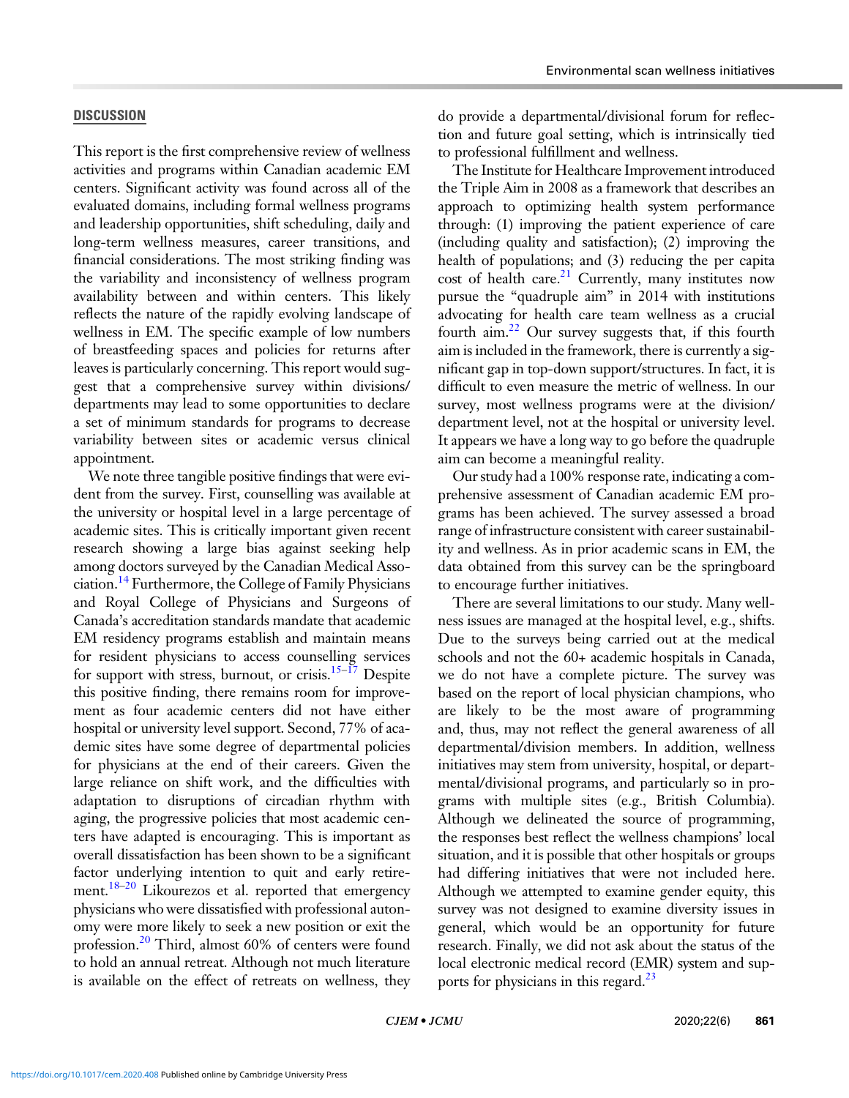# **DISCUSSION**

This report is the first comprehensive review of wellness activities and programs within Canadian academic EM centers. Significant activity was found across all of the evaluated domains, including formal wellness programs and leadership opportunities, shift scheduling, daily and long-term wellness measures, career transitions, and financial considerations. The most striking finding was the variability and inconsistency of wellness program availability between and within centers. This likely reflects the nature of the rapidly evolving landscape of wellness in EM. The specific example of low numbers of breastfeeding spaces and policies for returns after leaves is particularly concerning. This report would suggest that a comprehensive survey within divisions/ departments may lead to some opportunities to declare a set of minimum standards for programs to decrease variability between sites or academic versus clinical appointment.

We note three tangible positive findings that were evident from the survey. First, counselling was available at the university or hospital level in a large percentage of academic sites. This is critically important given recent research showing a large bias against seeking help among doctors surveyed by the Canadian Medical Association.<sup>14</sup> Furthermore, the College of Family Physicians and Royal College of Physicians and Surgeons of Canada's accreditation standards mandate that academic EM residency programs establish and maintain means for resident physicians to access counselling services for support with stress, burnout, or crisis.<sup>[15](#page-5-0)–[17](#page-6-0)</sup> Despite this positive finding, there remains room for improvement as four academic centers did not have either hospital or university level support. Second, 77% of academic sites have some degree of departmental policies for physicians at the end of their careers. Given the large reliance on shift work, and the difficulties with adaptation to disruptions of circadian rhythm with aging, the progressive policies that most academic centers have adapted is encouraging. This is important as overall dissatisfaction has been shown to be a significant factor underlying intention to quit and early retire-ment.<sup>18–[20](#page-6-0)</sup> Likourezos et al. reported that emergency physicians who were dissatisfied with professional autonomy were more likely to seek a new position or exit the profession.<sup>20</sup> Third, almost 60% of centers were found to hold an annual retreat. Although not much literature is available on the effect of retreats on wellness, they do provide a departmental/divisional forum for reflection and future goal setting, which is intrinsically tied to professional fulfillment and wellness.

The Institute for Healthcare Improvement introduced the Triple Aim in 2008 as a framework that describes an approach to optimizing health system performance through: (1) improving the patient experience of care (including quality and satisfaction); (2) improving the health of populations; and (3) reducing the per capita cost of health care.<sup>21</sup> Currently, many institutes now pursue the "quadruple aim" in 2014 with institutions advocating for health care team wellness as a crucial fourth aim. $^{22}$  Our survey suggests that, if this fourth aim is included in the framework, there is currently a significant gap in top-down support/structures. In fact, it is difficult to even measure the metric of wellness. In our survey, most wellness programs were at the division/ department level, not at the hospital or university level. It appears we have a long way to go before the quadruple aim can become a meaningful reality.

Our study had a 100% response rate, indicating a comprehensive assessment of Canadian academic EM programs has been achieved. The survey assessed a broad range of infrastructure consistent with career sustainability and wellness. As in prior academic scans in EM, the data obtained from this survey can be the springboard to encourage further initiatives.

There are several limitations to our study. Many wellness issues are managed at the hospital level, e.g., shifts. Due to the surveys being carried out at the medical schools and not the 60+ academic hospitals in Canada, we do not have a complete picture. The survey was based on the report of local physician champions, who are likely to be the most aware of programming and, thus, may not reflect the general awareness of all departmental/division members. In addition, wellness initiatives may stem from university, hospital, or departmental/divisional programs, and particularly so in programs with multiple sites (e.g., British Columbia). Although we delineated the source of programming, the responses best reflect the wellness champions' local situation, and it is possible that other hospitals or groups had differing initiatives that were not included here. Although we attempted to examine gender equity, this survey was not designed to examine diversity issues in general, which would be an opportunity for future research. Finally, we did not ask about the status of the local electronic medical record (EMR) system and sup-ports for physicians in this regard.<sup>[23](#page-6-0)</sup>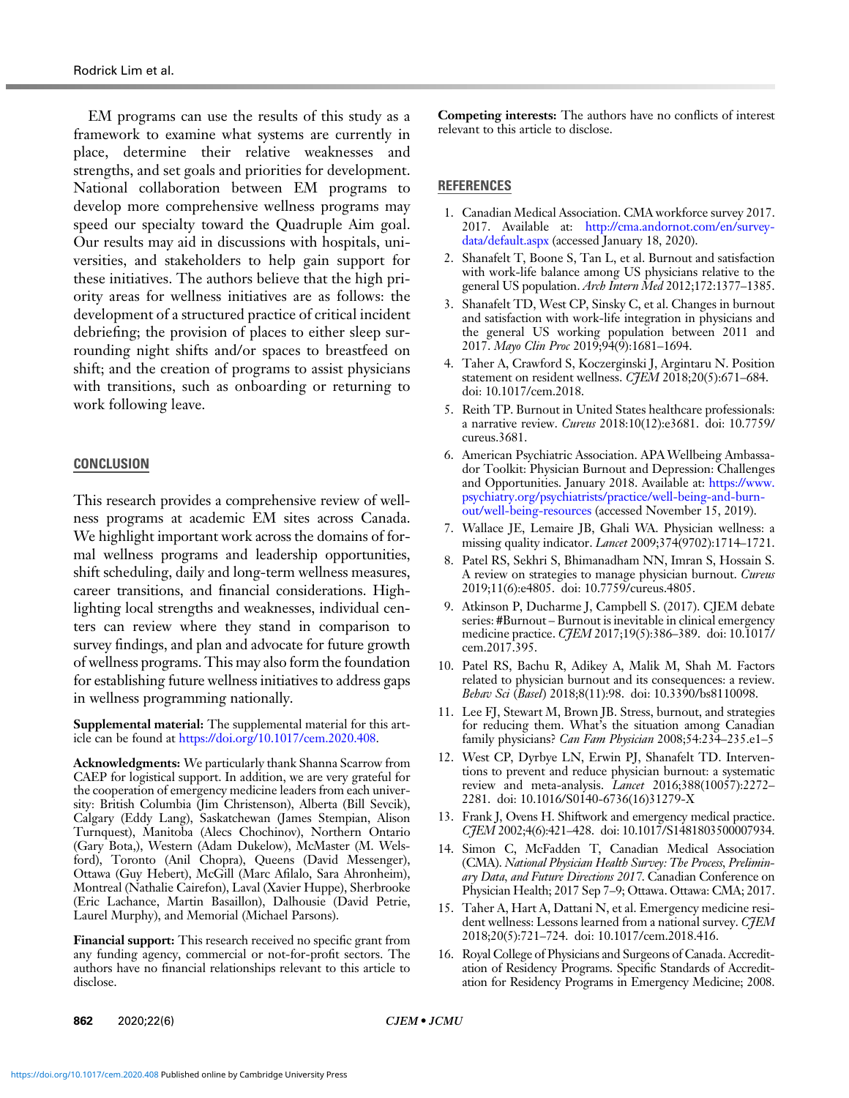<span id="page-5-0"></span>EM programs can use the results of this study as a framework to examine what systems are currently in place, determine their relative weaknesses and strengths, and set goals and priorities for development. National collaboration between EM programs to develop more comprehensive wellness programs may speed our specialty toward the Quadruple Aim goal. Our results may aid in discussions with hospitals, universities, and stakeholders to help gain support for these initiatives. The authors believe that the high priority areas for wellness initiatives are as follows: the development of a structured practice of critical incident debriefing; the provision of places to either sleep surrounding night shifts and/or spaces to breastfeed on shift; and the creation of programs to assist physicians with transitions, such as onboarding or returning to work following leave.

## **CONCLUSION**

This research provides a comprehensive review of wellness programs at academic EM sites across Canada. We highlight important work across the domains of formal wellness programs and leadership opportunities, shift scheduling, daily and long-term wellness measures, career transitions, and financial considerations. Highlighting local strengths and weaknesses, individual centers can review where they stand in comparison to survey findings, and plan and advocate for future growth of wellness programs. This may also form the foundation for establishing future wellness initiatives to address gaps in wellness programming nationally.

Supplemental material: The supplemental material for this article can be found at <https://doi.org/10.1017/cem.2020.408>.

Acknowledgments: We particularly thank Shanna Scarrow from CAEP for logistical support. In addition, we are very grateful for the cooperation of emergency medicine leaders from each university: British Columbia (Jim Christenson), Alberta (Bill Sevcik), Calgary (Eddy Lang), Saskatchewan (James Stempian, Alison Turnquest), Manitoba (Alecs Chochinov), Northern Ontario (Gary Bota,), Western (Adam Dukelow), McMaster (M. Welsford), Toronto (Anil Chopra), Queens (David Messenger), Ottawa (Guy Hebert), McGill (Marc Afilalo, Sara Ahronheim), Montreal (Nathalie Cairefon), Laval (Xavier Huppe), Sherbrooke (Eric Lachance, Martin Basaillon), Dalhousie (David Petrie, Laurel Murphy), and Memorial (Michael Parsons).

**Financial support:** This research received no specific grant from any funding agency, commercial or not-for-profit sectors. The authors have no financial relationships relevant to this article to disclose.

Competing interests: The authors have no conflicts of interest relevant to this article to disclose.

#### REFERENCES

- 1. Canadian Medical Association. CMA workforce survey 2017. 2017. Available at: [http://cma.andornot.com/en/survey](http://cma.andornot.com/en/surveydata/default.aspx)[data/default.aspx](http://cma.andornot.com/en/surveydata/default.aspx) (accessed January 18, 2020).
- 2. Shanafelt T, Boone S, Tan L, et al. Burnout and satisfaction with work-life balance among US physicians relative to the general US population. Arch Intern Med 2012;172:1377–1385.
- 3. Shanafelt TD, West CP, Sinsky C, et al. Changes in burnout and satisfaction with work-life integration in physicians and the general US working population between 2011 and 2017. Mayo Clin Proc 2019;94(9):1681–1694.
- 4. Taher A, Crawford S, Koczerginski J, Argintaru N. Position statement on resident wellness. CJEM 2018;20(5):671-684. doi: 10.1017/cem.2018.
- 5. Reith TP. Burnout in United States healthcare professionals: a narrative review. Cureus 2018:10(12):e3681. doi: 10.7759/ cureus.3681.
- 6. American Psychiatric Association. APAWellbeing Ambassador Toolkit: Physician Burnout and Depression: Challenges and Opportunities. January 2018. Available at: [https://www.](https://www.psychiatry.org/psychiatrists/practice/well-being-and-burnout/well-being-resources) [psychiatry.org/psychiatrists/practice/well-being-and-burn](https://www.psychiatry.org/psychiatrists/practice/well-being-and-burnout/well-being-resources)[out/well-being-resources](https://www.psychiatry.org/psychiatrists/practice/well-being-and-burnout/well-being-resources) (accessed November 15, 2019).
- 7. Wallace JE, Lemaire JB, Ghali WA. Physician wellness: a missing quality indicator. Lancet 2009;374(9702):1714–1721.
- 8. Patel RS, Sekhri S, Bhimanadham NN, Imran S, Hossain S. A review on strategies to manage physician burnout. Cureus 2019;11(6):e4805. doi: 10.7759/cureus.4805.
- 9. Atkinson P, Ducharme J, Campbell S. (2017). CJEM debate series: #Burnout – Burnout is inevitable in clinical emergency medicine practice. CJEM 2017;19(5):386-389. doi: 10.1017/ cem.2017.395.
- 10. Patel RS, Bachu R, Adikey A, Malik M, Shah M. Factors related to physician burnout and its consequences: a review. Behav Sci (Basel) 2018;8(11):98. doi: 10.3390/bs8110098.
- 11. Lee FJ, Stewart M, Brown JB. Stress, burnout, and strategies for reducing them. What's the situation among Canadian family physicians? Can Fam Physician 2008;54:234-235.e1-5
- 12. West CP, Dyrbye LN, Erwin PJ, Shanafelt TD. Interventions to prevent and reduce physician burnout: a systematic review and meta-analysis. Lancet 2016;388(10057):2272– 2281. doi: 10.1016/S0140-6736(16)31279-X
- 13. Frank J, Ovens H. Shiftwork and emergency medical practice. CJEM 2002;4(6):421-428. doi: 10.1017/S1481803500007934.
- 14. Simon C, McFadden T, Canadian Medical Association (CMA). National Physician Health Survey: The Process, Preliminary Data, and Future Directions 2017. Canadian Conference on Physician Health; 2017 Sep 7–9; Ottawa. Ottawa: CMA; 2017.
- 15. Taher A, Hart A, Dattani N, et al. Emergency medicine resident wellness: Lessons learned from a national survey. CJEM 2018;20(5):721–724. doi: 10.1017/cem.2018.416.
- 16. Royal College of Physicians and Surgeons of Canada. Accreditation of Residency Programs. Specific Standards of Accreditation for Residency Programs in Emergency Medicine; 2008.

862 2020;22(6) CJEM • JCMU